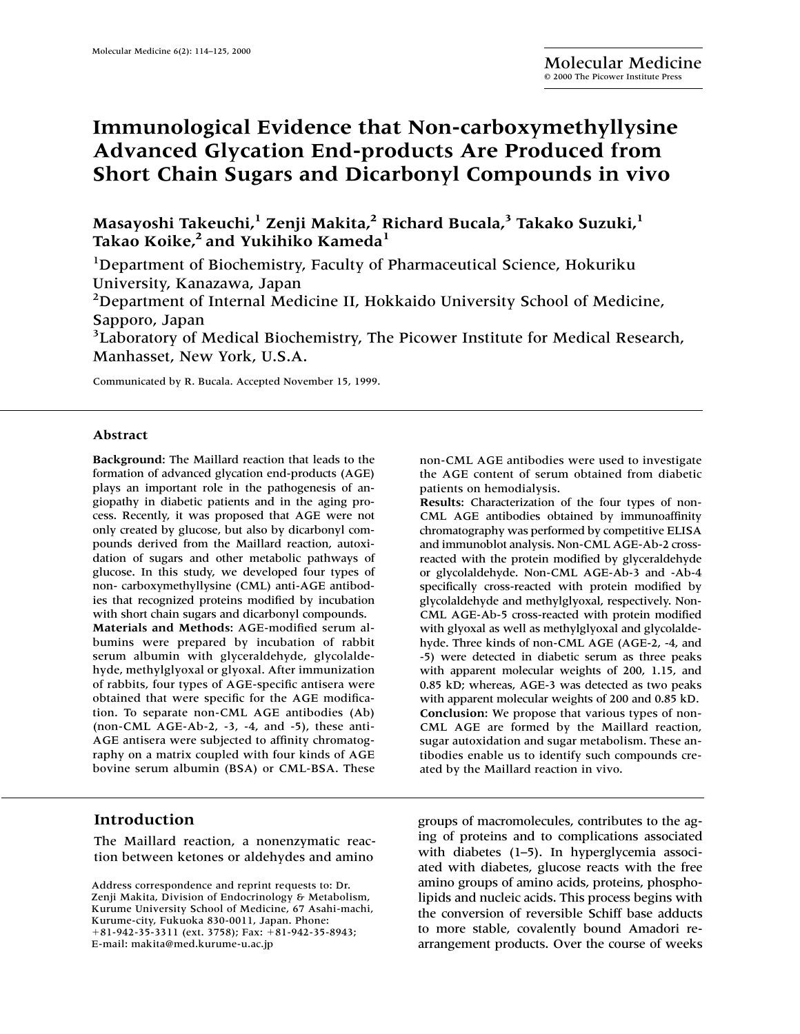# **Immunological Evidence that Non-carboxymethyllysine Advanced Glycation End-products Are Produced from Short Chain Sugars and Dicarbonyl Compounds in vivo**

**Masayoshi Takeuchi,1 Zenji Makita,2 Richard Bucala,3 Takako Suzuki,<sup>1</sup>** Takao Koike,<sup>2</sup> and Yukihiko Kameda<sup>1</sup>

<sup>1</sup>Department of Biochemistry, Faculty of Pharmaceutical Science, Hokuriku University, Kanazawa, Japan

<sup>2</sup>Department of Internal Medicine II, Hokkaido University School of Medicine, Sapporo, Japan

<sup>3</sup>Laboratory of Medical Biochemistry, The Picower Institute for Medical Research, Manhasset, New York, U.S.A.

Communicated by R. Bucala. Accepted November 15, 1999.

#### **Abstract**

**Background:** The Maillard reaction that leads to the formation of advanced glycation end-products (AGE) plays an important role in the pathogenesis of angiopathy in diabetic patients and in the aging process. Recently, it was proposed that AGE were not only created by glucose, but also by dicarbonyl compounds derived from the Maillard reaction, autoxidation of sugars and other metabolic pathways of glucose. In this study, we developed four types of non- carboxymethyllysine (CML) anti-AGE antibodies that recognized proteins modified by incubation with short chain sugars and dicarbonyl compounds. **Materials and Methods:** AGE-modified serum albumins were prepared by incubation of rabbit serum albumin with glyceraldehyde, glycolaldehyde, methylglyoxal or glyoxal. After immunization of rabbits, four types of AGE-specific antisera were obtained that were specific for the AGE modification. To separate non-CML AGE antibodies (Ab) (non-CML AGE-Ab-2, -3, -4, and -5), these anti-AGE antisera were subjected to affinity chromatography on a matrix coupled with four kinds of AGE bovine serum albumin (BSA) or CML-BSA. These

## **Introduction**

The Maillard reaction, a nonenzymatic reaction between ketones or aldehydes and amino non-CML AGE antibodies were used to investigate the AGE content of serum obtained from diabetic patients on hemodialysis.

**Results:** Characterization of the four types of non-CML AGE antibodies obtained by immunoaffinity chromatography was performed by competitive ELISA and immunoblot analysis. Non-CML AGE-Ab-2 crossreacted with the protein modified by glyceraldehyde or glycolaldehyde. Non-CML AGE-Ab-3 and -Ab-4 specifically cross-reacted with protein modified by glycolaldehyde and methylglyoxal, respectively. Non-CML AGE-Ab-5 cross-reacted with protein modified with glyoxal as well as methylglyoxal and glycolaldehyde. Three kinds of non-CML AGE (AGE-2, -4, and -5) were detected in diabetic serum as three peaks with apparent molecular weights of 200, 1.15, and 0.85 kD; whereas, AGE-3 was detected as two peaks with apparent molecular weights of 200 and 0.85 kD. **Conclusion:** We propose that various types of non-CML AGE are formed by the Maillard reaction, sugar autoxidation and sugar metabolism. These antibodies enable us to identify such compounds created by the Maillard reaction in vivo.

groups of macromolecules, contributes to the aging of proteins and to complications associated with diabetes (1–5). In hyperglycemia associated with diabetes, glucose reacts with the free amino groups of amino acids, proteins, phospholipids and nucleic acids. This process begins with the conversion of reversible Schiff base adducts to more stable, covalently bound Amadori rearrangement products. Over the course of weeks

Address correspondence and reprint requests to: Dr. Zenji Makita, Division of Endocrinology & Metabolism, Kurume University School of Medicine, 67 Asahi-machi, Kurume-city, Fukuoka 830-0011, Japan. Phone: +81-942-35-3311 (ext. 3758); Fax: +81-942-35-8943; E-mail: makita@med.kurume-u.ac.jp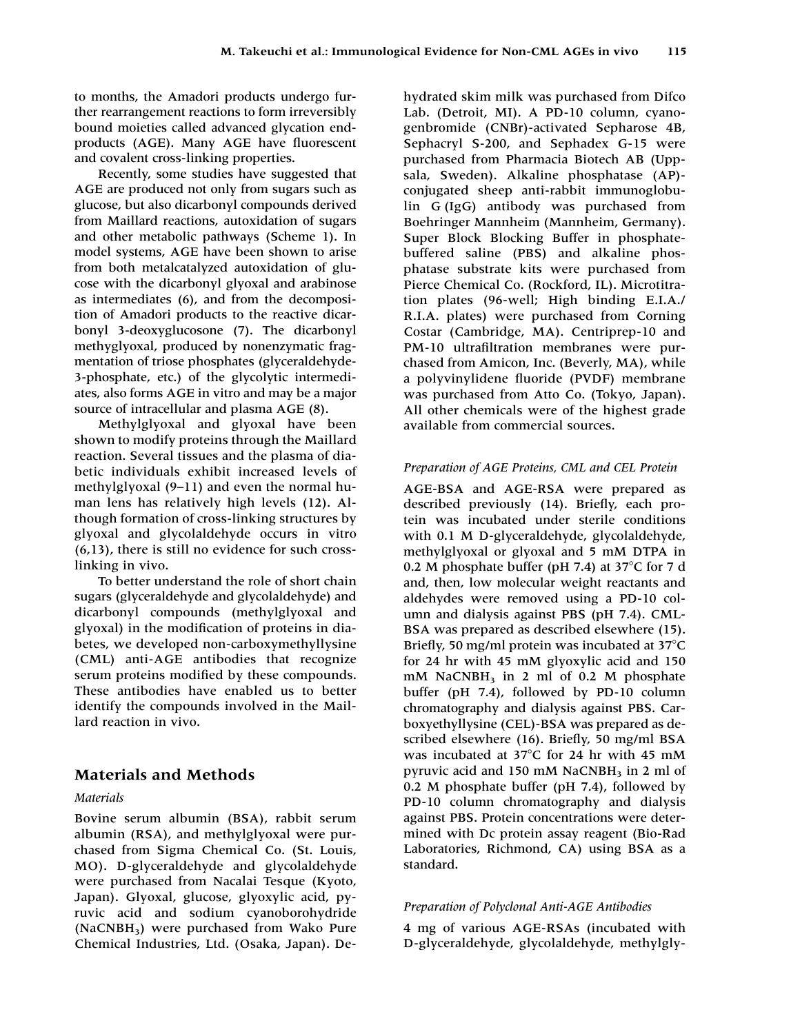to months, the Amadori products undergo further rearrangement reactions to form irreversibly bound moieties called advanced glycation endproducts (AGE). Many AGE have fluorescent and covalent cross-linking properties.

Recently, some studies have suggested that AGE are produced not only from sugars such as glucose, but also dicarbonyl compounds derived from Maillard reactions, autoxidation of sugars and other metabolic pathways (Scheme 1). In model systems, AGE have been shown to arise from both metalcatalyzed autoxidation of glucose with the dicarbonyl glyoxal and arabinose as intermediates (6), and from the decomposition of Amadori products to the reactive dicarbonyl 3-deoxyglucosone (7). The dicarbonyl methyglyoxal, produced by nonenzymatic fragmentation of triose phosphates (glyceraldehyde-3-phosphate, etc.) of the glycolytic intermediates, also forms AGE in vitro and may be a major source of intracellular and plasma AGE (8).

Methylglyoxal and glyoxal have been shown to modify proteins through the Maillard reaction. Several tissues and the plasma of diabetic individuals exhibit increased levels of methylglyoxal (9–11) and even the normal human lens has relatively high levels (12). Although formation of cross-linking structures by glyoxal and glycolaldehyde occurs in vitro (6,13), there is still no evidence for such crosslinking in vivo.

To better understand the role of short chain sugars (glyceraldehyde and glycolaldehyde) and dicarbonyl compounds (methylglyoxal and glyoxal) in the modification of proteins in diabetes, we developed non-carboxymethyllysine (CML) anti-AGE antibodies that recognize serum proteins modified by these compounds. These antibodies have enabled us to better identify the compounds involved in the Maillard reaction in vivo.

## **Materials and Methods**

#### *Materials*

Bovine serum albumin (BSA), rabbit serum albumin (RSA), and methylglyoxal were purchased from Sigma Chemical Co. (St. Louis, MO). D-glyceraldehyde and glycolaldehyde were purchased from Nacalai Tesque (Kyoto, Japan). Glyoxal, glucose, glyoxylic acid, pyruvic acid and sodium cyanoborohydride (NaCNBH3) were purchased from Wako Pure Chemical Industries, Ltd. (Osaka, Japan). Dehydrated skim milk was purchased from Difco Lab. (Detroit, MI). A PD-10 column, cyanogenbromide (CNBr)-activated Sepharose 4B, Sephacryl S-200, and Sephadex G-15 were purchased from Pharmacia Biotech AB (Uppsala, Sweden). Alkaline phosphatase (AP) conjugated sheep anti-rabbit immunoglobulin G (IgG) antibody was purchased from Boehringer Mannheim (Mannheim, Germany). Super Block Blocking Buffer in phosphatebuffered saline (PBS) and alkaline phosphatase substrate kits were purchased from Pierce Chemical Co. (Rockford, IL). Microtitration plates (96-well; High binding E.I.A./ R.I.A. plates) were purchased from Corning Costar (Cambridge, MA). Centriprep-10 and PM-10 ultrafiltration membranes were purchased from Amicon, Inc. (Beverly, MA), while a polyvinylidene fluoride (PVDF) membrane was purchased from Atto Co. (Tokyo, Japan). All other chemicals were of the highest grade available from commercial sources.

#### *Preparation of AGE Proteins, CML and CEL Protein*

AGE-BSA and AGE-RSA were prepared as described previously (14). Briefly, each protein was incubated under sterile conditions with 0.1 M D-glyceraldehyde, glycolaldehyde, methylglyoxal or glyoxal and 5 mM DTPA in 0.2 M phosphate buffer (pH 7.4) at  $37^{\circ}$ C for 7 d and, then, low molecular weight reactants and aldehydes were removed using a PD-10 column and dialysis against PBS (pH 7.4). CML-BSA was prepared as described elsewhere (15). Briefly, 50 mg/ml protein was incubated at  $37^{\circ}$ C for 24 hr with 45 mM glyoxylic acid and 150  $mM$  NaCNBH<sub>3</sub> in 2 ml of 0.2 M phosphate buffer (pH 7.4), followed by PD-10 column chromatography and dialysis against PBS. Carboxyethyllysine (CEL)-BSA was prepared as described elsewhere (16). Briefly, 50 mg/ml BSA was incubated at  $37^{\circ}$ C for 24 hr with 45 mM pyruvic acid and 150 mM NaCNBH<sub>3</sub> in 2 ml of 0.2 M phosphate buffer (pH 7.4), followed by PD-10 column chromatography and dialysis against PBS. Protein concentrations were determined with Dc protein assay reagent (Bio-Rad Laboratories, Richmond, CA) using BSA as a standard.

#### *Preparation of Polyclonal Anti-AGE Antibodies*

4 mg of various AGE-RSAs (incubated with D-glyceraldehyde, glycolaldehyde, methylgly-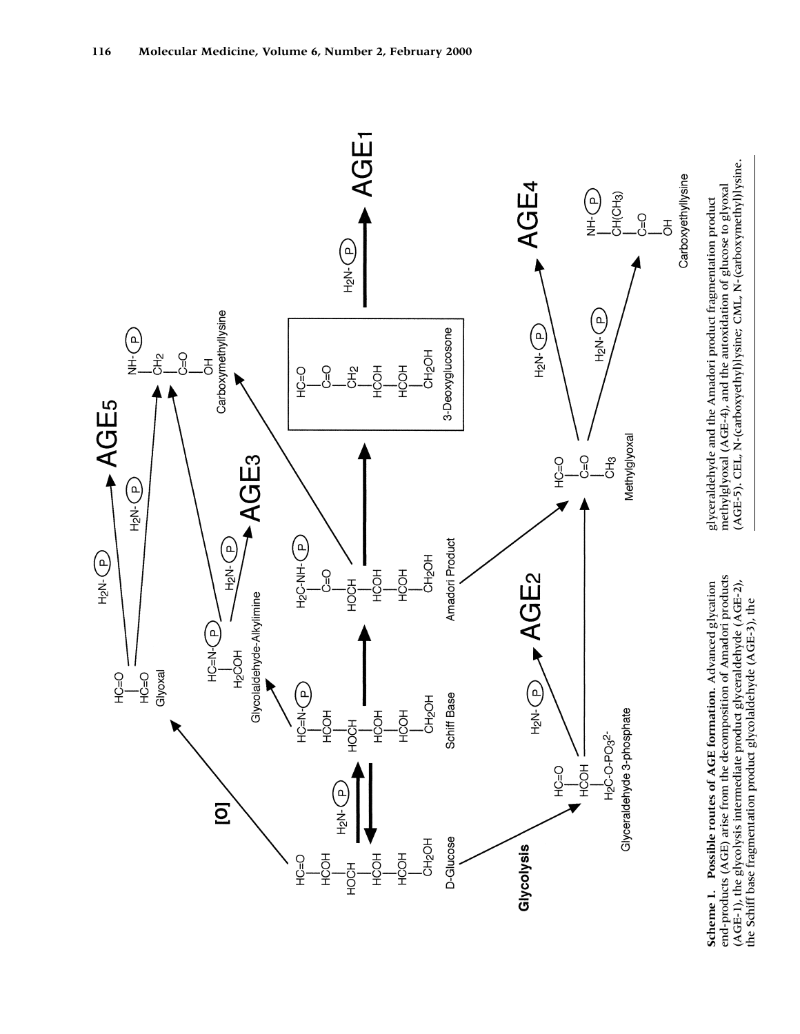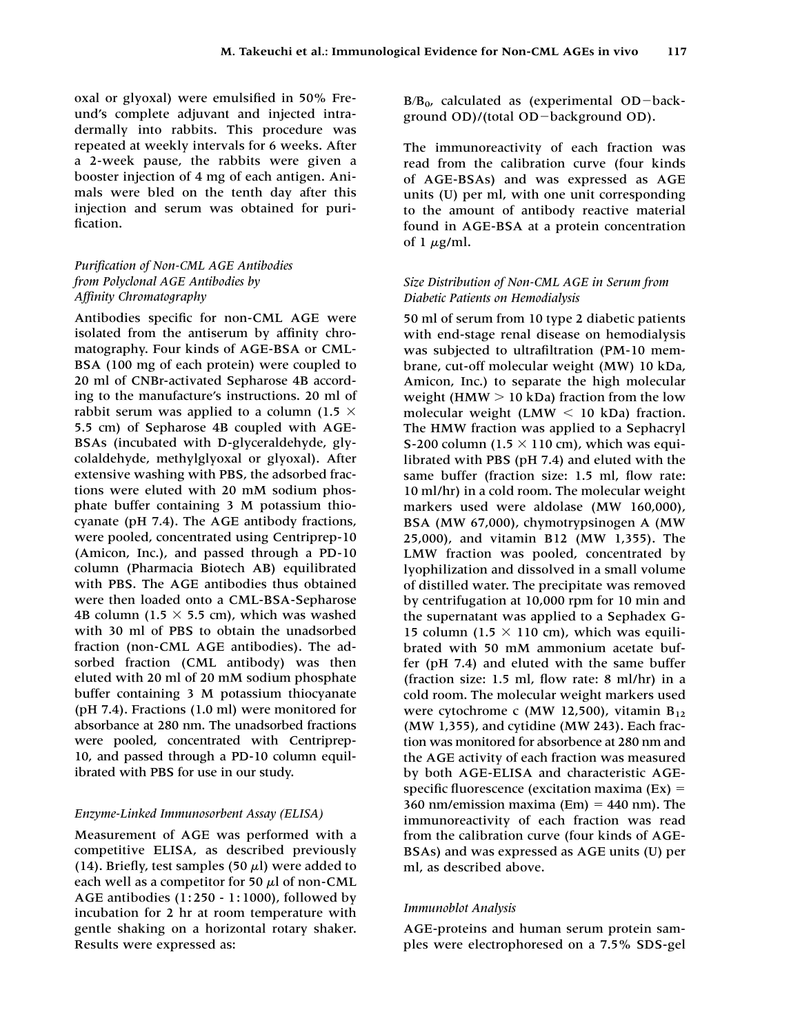oxal or glyoxal) were emulsified in 50% Freund's complete adjuvant and injected intradermally into rabbits. This procedure was repeated at weekly intervals for 6 weeks. After a 2-week pause, the rabbits were given a booster injection of 4 mg of each antigen. Animals were bled on the tenth day after this injection and serum was obtained for purification.

## *Purification of Non-CML AGE Antibodies from Polyclonal AGE Antibodies by Affinity Chromatography*

Antibodies specific for non-CML AGE were isolated from the antiserum by affinity chromatography. Four kinds of AGE-BSA or CML-BSA (100 mg of each protein) were coupled to 20 ml of CNBr-activated Sepharose 4B according to the manufacture's instructions. 20 ml of rabbit serum was applied to a column (1.5  $\times$ 5.5 cm) of Sepharose 4B coupled with AGE-BSAs (incubated with D-glyceraldehyde, glycolaldehyde, methylglyoxal or glyoxal). After extensive washing with PBS, the adsorbed fractions were eluted with 20 mM sodium phosphate buffer containing 3 M potassium thiocyanate (pH 7.4). The AGE antibody fractions, were pooled, concentrated using Centriprep-10 (Amicon, Inc.), and passed through a PD-10 column (Pharmacia Biotech AB) equilibrated with PBS. The AGE antibodies thus obtained were then loaded onto a CML-BSA-Sepharose 4B column (1.5  $\times$  5.5 cm), which was washed with 30 ml of PBS to obtain the unadsorbed fraction (non-CML AGE antibodies). The adsorbed fraction (CML antibody) was then eluted with 20 ml of 20 mM sodium phosphate buffer containing 3 M potassium thiocyanate (pH 7.4). Fractions (1.0 ml) were monitored for absorbance at 280 nm. The unadsorbed fractions were pooled, concentrated with Centriprep-10, and passed through a PD-10 column equilibrated with PBS for use in our study.

## *Enzyme-Linked Immunosorbent Assay (ELISA)*

Measurement of AGE was performed with a competitive ELISA, as described previously (14). Briefly, test samples (50  $\mu$ l) were added to each well as a competitor for 50  $\mu$ l of non-CML AGE antibodies (1: 250 - 1: 1000), followed by incubation for 2 hr at room temperature with gentle shaking on a horizontal rotary shaker. Results were expressed as:

 $B/B<sub>0</sub>$ , calculated as (experimental OD-background  $OD$ )/(total  $OD$ -background  $OD$ ).

The immunoreactivity of each fraction was read from the calibration curve (four kinds of AGE-BSAs) and was expressed as AGE units (U) per ml, with one unit corresponding to the amount of antibody reactive material found in AGE-BSA at a protein concentration of 1  $\mu$ g/ml.

## *Size Distribution of Non-CML AGE in Serum from Diabetic Patients on Hemodialysis*

50 ml of serum from 10 type 2 diabetic patients with end-stage renal disease on hemodialysis was subjected to ultrafiltration (PM-10 membrane, cut-off molecular weight (MW) 10 kDa, Amicon, Inc.) to separate the high molecular weight (HMW  $> 10$  kDa) fraction from the low molecular weight (LMW  $<$  10 kDa) fraction. The HMW fraction was applied to a Sephacryl S-200 column (1.5  $\times$  110 cm), which was equilibrated with PBS (pH 7.4) and eluted with the same buffer (fraction size: 1.5 ml, flow rate: 10 ml/hr) in a cold room. The molecular weight markers used were aldolase (MW 160,000), BSA (MW 67,000), chymotrypsinogen A (MW 25,000), and vitamin B12 (MW 1,355). The LMW fraction was pooled, concentrated by lyophilization and dissolved in a small volume of distilled water. The precipitate was removed by centrifugation at 10,000 rpm for 10 min and the supernatant was applied to a Sephadex G-15 column (1.5  $\times$  110 cm), which was equilibrated with 50 mM ammonium acetate buffer (pH 7.4) and eluted with the same buffer (fraction size: 1.5 ml, flow rate: 8 ml/hr) in a cold room. The molecular weight markers used were cytochrome c (MW 12,500), vitamin  $B_{12}$ (MW 1,355), and cytidine (MW 243). Each fraction was monitored for absorbence at 280 nm and the AGE activity of each fraction was measured by both AGE-ELISA and characteristic AGEspecific fluorescence (excitation maxima  $(Ex) =$ 360 nm/emission maxima (Em)  $=$  440 nm). The immunoreactivity of each fraction was read from the calibration curve (four kinds of AGE-BSAs) and was expressed as AGE units (U) per ml, as described above.

#### *Immunoblot Analysis*

AGE-proteins and human serum protein samples were electrophoresed on a 7.5% SDS-gel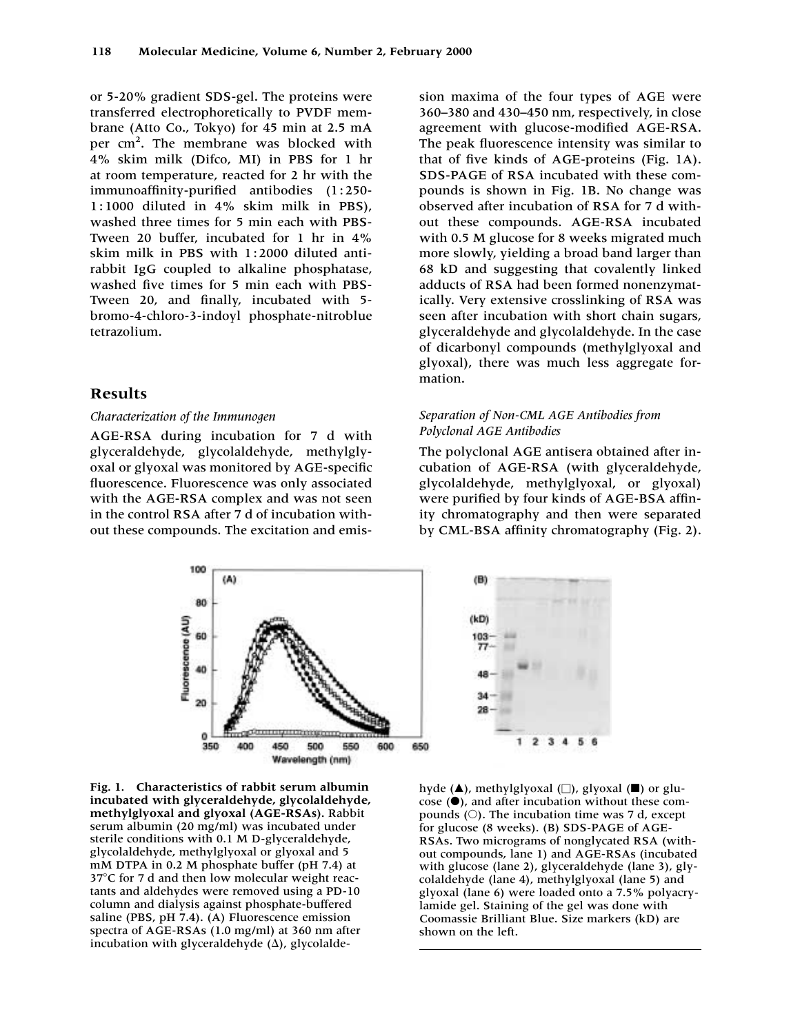or 5-20% gradient SDS-gel. The proteins were transferred electrophoretically to PVDF membrane (Atto Co., Tokyo) for 45 min at 2.5 mA per cm<sup>2</sup>. The membrane was blocked with 4% skim milk (Difco, MI) in PBS for 1 hr at room temperature, reacted for 2 hr with the immunoaffinity-purified antibodies (1:250-1 : 1000 diluted in 4% skim milk in PBS), washed three times for 5 min each with PBS-Tween 20 buffer, incubated for 1 hr in 4% skim milk in PBS with 1:2000 diluted antirabbit IgG coupled to alkaline phosphatase, washed five times for 5 min each with PBS-Tween 20, and finally, incubated with 5 bromo-4-chloro-3-indoyl phosphate-nitroblue tetrazolium.

## **Results**

#### *Characterization of the Immunogen*

AGE-RSA during incubation for 7 d with glyceraldehyde, glycolaldehyde, methylglyoxal or glyoxal was monitored by AGE-specific fluorescence. Fluorescence was only associated with the AGE-RSA complex and was not seen in the control RSA after 7 d of incubation without these compounds. The excitation and emission maxima of the four types of AGE were 360–380 and 430–450 nm, respectively, in close agreement with glucose-modified AGE-RSA. The peak fluorescence intensity was similar to that of five kinds of AGE-proteins (Fig. 1A). SDS-PAGE of RSA incubated with these compounds is shown in Fig. 1B. No change was observed after incubation of RSA for 7 d without these compounds. AGE-RSA incubated with 0.5 M glucose for 8 weeks migrated much more slowly, yielding a broad band larger than 68 kD and suggesting that covalently linked adducts of RSA had been formed nonenzymatically. Very extensive crosslinking of RSA was seen after incubation with short chain sugars, glyceraldehyde and glycolaldehyde. In the case of dicarbonyl compounds (methylglyoxal and glyoxal), there was much less aggregate formation.

## *Separation of Non-CML AGE Antibodies from Polyclonal AGE Antibodies*

The polyclonal AGE antisera obtained after incubation of AGE-RSA (with glyceraldehyde, glycolaldehyde, methylglyoxal, or glyoxal) were purified by four kinds of AGE-BSA affinity chromatography and then were separated by CML-BSA affinity chromatography (Fig. 2).



**Fig. 1. Characteristics of rabbit serum albumin incubated with glyceraldehyde, glycolaldehyde, methylglyoxal and glyoxal (AGE-RSAs).** Rabbit serum albumin (20 mg/ml) was incubated under sterile conditions with 0.1 M D-glyceraldehyde, glycolaldehyde, methylglyoxal or glyoxal and 5 mM DTPA in 0.2 M phosphate buffer (pH 7.4) at  $37^{\circ}$ C for 7 d and then low molecular weight reactants and aldehydes were removed using a PD-10 column and dialysis against phosphate-buffered saline (PBS, pH 7.4). (A) Fluorescence emission spectra of AGE-RSAs (1.0 mg/ml) at 360 nm after incubation with glyceraldehyde  $(\Delta)$ , glycolalde-



hyde (▲), methylglyoxal (□), glyoxal (■) or glucose  $($  $)$ , and after incubation without these compounds ( $\circ$ ). The incubation time was 7 d, except for glucose (8 weeks). (B) SDS-PAGE of AGE-RSAs. Two micrograms of nonglycated RSA (without compounds, lane 1) and AGE-RSAs (incubated with glucose (lane 2), glyceraldehyde (lane 3), glycolaldehyde (lane 4), methylglyoxal (lane 5) and glyoxal (lane 6) were loaded onto a 7.5% polyacrylamide gel. Staining of the gel was done with Coomassie Brilliant Blue. Size markers (kD) are shown on the left.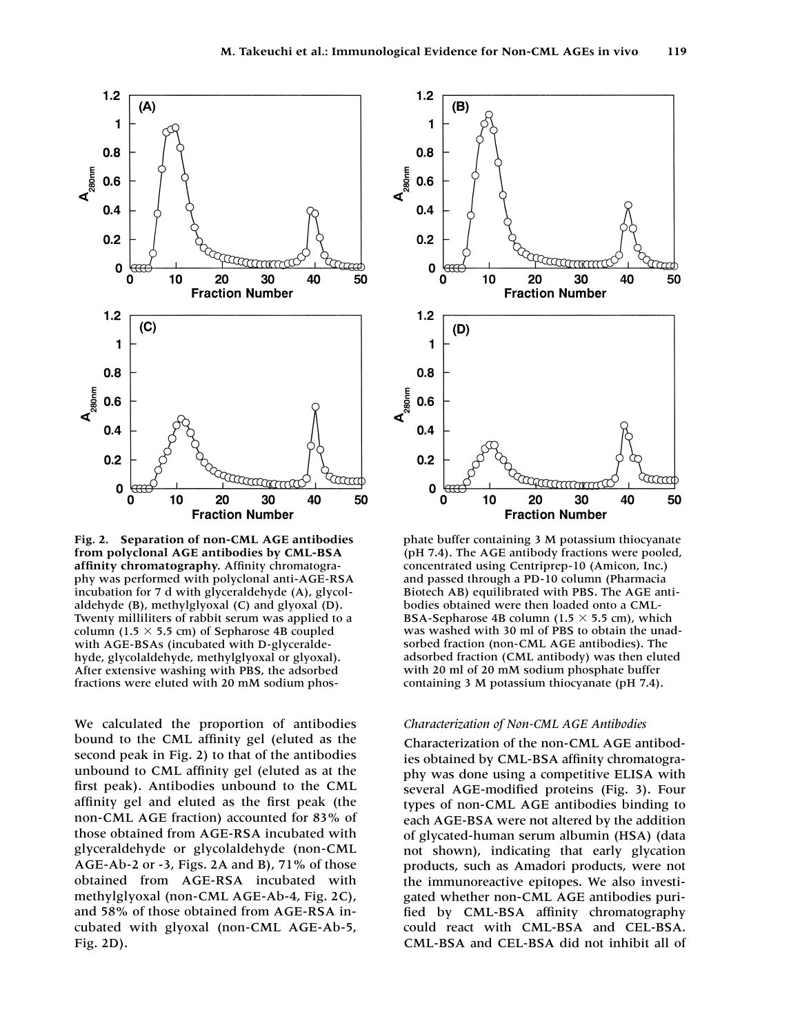

**Fig. 2. Separation of non-CML AGE antibodies from polyclonal AGE antibodies by CML-BSA affinity chromatography.** Affinity chromatography was performed with polyclonal anti-AGE-RSA incubation for 7 d with glyceraldehyde (A), glycolaldehyde (B), methylglyoxal (C) and glyoxal (D). Twenty milliliters of rabbit serum was applied to a column (1.5  $\times$  5.5 cm) of Sepharose 4B coupled with AGE-BSAs (incubated with D-glyceraldehyde, glycolaldehyde, methylglyoxal or glyoxal). After extensive washing with PBS, the adsorbed fractions were eluted with 20 mM sodium phos-

We calculated the proportion of antibodies bound to the CML affinity gel (eluted as the second peak in Fig. 2) to that of the antibodies unbound to CML affinity gel (eluted as at the first peak). Antibodies unbound to the CML affinity gel and eluted as the first peak (the non-CML AGE fraction) accounted for 83% of those obtained from AGE-RSA incubated with glyceraldehyde or glycolaldehyde (non-CML AGE-Ab-2 or -3, Figs. 2A and B), 71% of those obtained from AGE-RSA incubated with methylglyoxal (non-CML AGE-Ab-4, Fig. 2C), and 58% of those obtained from AGE-RSA incubated with glyoxal (non-CML AGE-Ab-5, Fig. 2D).



phate buffer containing 3 M potassium thiocyanate (pH 7.4). The AGE antibody fractions were pooled, concentrated using Centriprep-10 (Amicon, Inc.) and passed through a PD-10 column (Pharmacia Biotech AB) equilibrated with PBS. The AGE antibodies obtained were then loaded onto a CML-BSA-Sepharose 4B column (1.5  $\times$  5.5 cm), which was washed with 30 ml of PBS to obtain the unadsorbed fraction (non-CML AGE antibodies). The adsorbed fraction (CML antibody) was then eluted with 20 ml of 20 mM sodium phosphate buffer containing 3 M potassium thiocyanate (pH 7.4).

#### *Characterization of Non-CML AGE Antibodies*

Characterization of the non-CML AGE antibodies obtained by CML-BSA affinity chromatography was done using a competitive ELISA with several AGE-modified proteins (Fig. 3). Four types of non-CML AGE antibodies binding to each AGE-BSA were not altered by the addition of glycated-human serum albumin (HSA) (data not shown), indicating that early glycation products, such as Amadori products, were not the immunoreactive epitopes. We also investigated whether non-CML AGE antibodies purified by CML-BSA affinity chromatography could react with CML-BSA and CEL-BSA. CML-BSA and CEL-BSA did not inhibit all of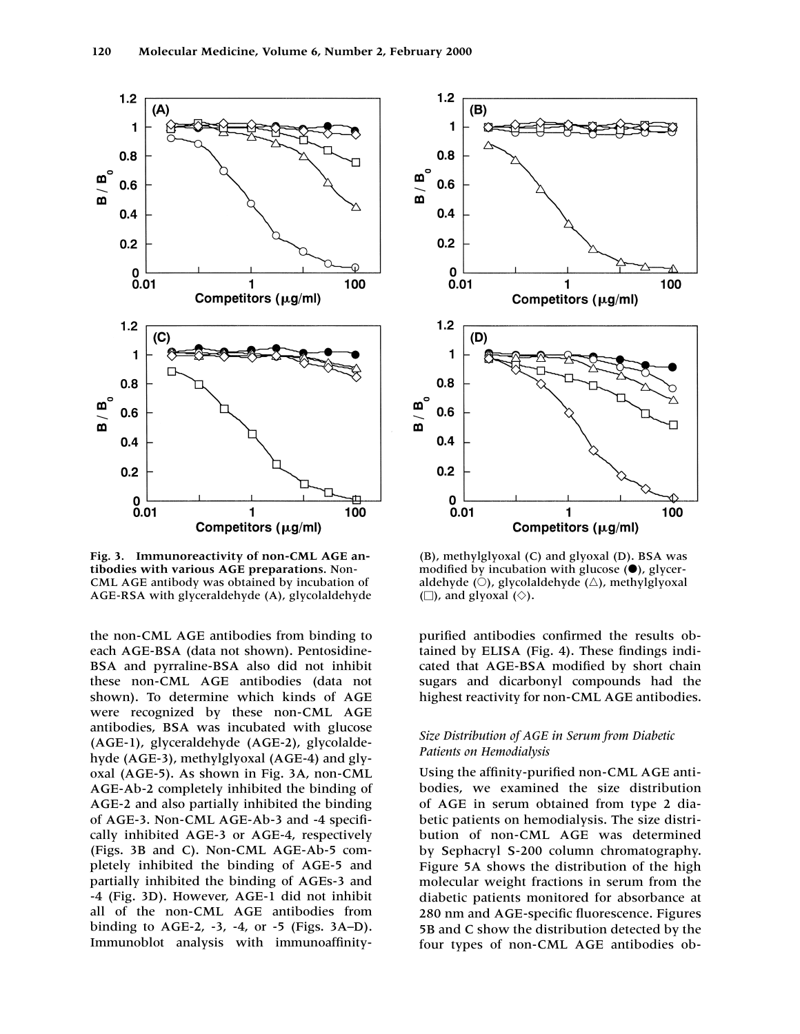

**Fig. 3. Immunoreactivity of non-CML AGE antibodies with various AGE preparations.** Non-CML AGE antibody was obtained by incubation of AGE-RSA with glyceraldehyde (A), glycolaldehyde

the non-CML AGE antibodies from binding to each AGE-BSA (data not shown). Pentosidine-BSA and pyrraline-BSA also did not inhibit these non-CML AGE antibodies (data not shown). To determine which kinds of AGE were recognized by these non-CML AGE antibodies, BSA was incubated with glucose (AGE-1), glyceraldehyde (AGE-2), glycolaldehyde (AGE-3), methylglyoxal (AGE-4) and glyoxal (AGE-5). As shown in Fig. 3A, non-CML AGE-Ab-2 completely inhibited the binding of AGE-2 and also partially inhibited the binding of AGE-3. Non-CML AGE-Ab-3 and -4 specifically inhibited AGE-3 or AGE-4, respectively (Figs. 3B and C). Non-CML AGE-Ab-5 completely inhibited the binding of AGE-5 and partially inhibited the binding of AGEs-3 and -4 (Fig. 3D). However, AGE-1 did not inhibit all of the non-CML AGE antibodies from binding to AGE-2, -3, -4, or -5 (Figs. 3A–D). Immunoblot analysis with immunoaffinity-



(B), methylglyoxal (C) and glyoxal (D). BSA was modified by incubation with glucose  $(\bullet)$ , glyceraldehyde ( $\bigcirc$ ), glycolaldehyde ( $\bigtriangleup$ ), methylglyoxal  $(\Box)$ , and glyoxal  $(\Diamond)$ .

purified antibodies confirmed the results obtained by ELISA (Fig. 4). These findings indicated that AGE-BSA modified by short chain sugars and dicarbonyl compounds had the highest reactivity for non-CML AGE antibodies.

## *Size Distribution of AGE in Serum from Diabetic Patients on Hemodialysis*

Using the affinity-purified non-CML AGE antibodies, we examined the size distribution of AGE in serum obtained from type 2 diabetic patients on hemodialysis. The size distribution of non-CML AGE was determined by Sephacryl S-200 column chromatography. Figure 5A shows the distribution of the high molecular weight fractions in serum from the diabetic patients monitored for absorbance at 280 nm and AGE-specific fluorescence. Figures 5B and C show the distribution detected by the four types of non-CML AGE antibodies ob-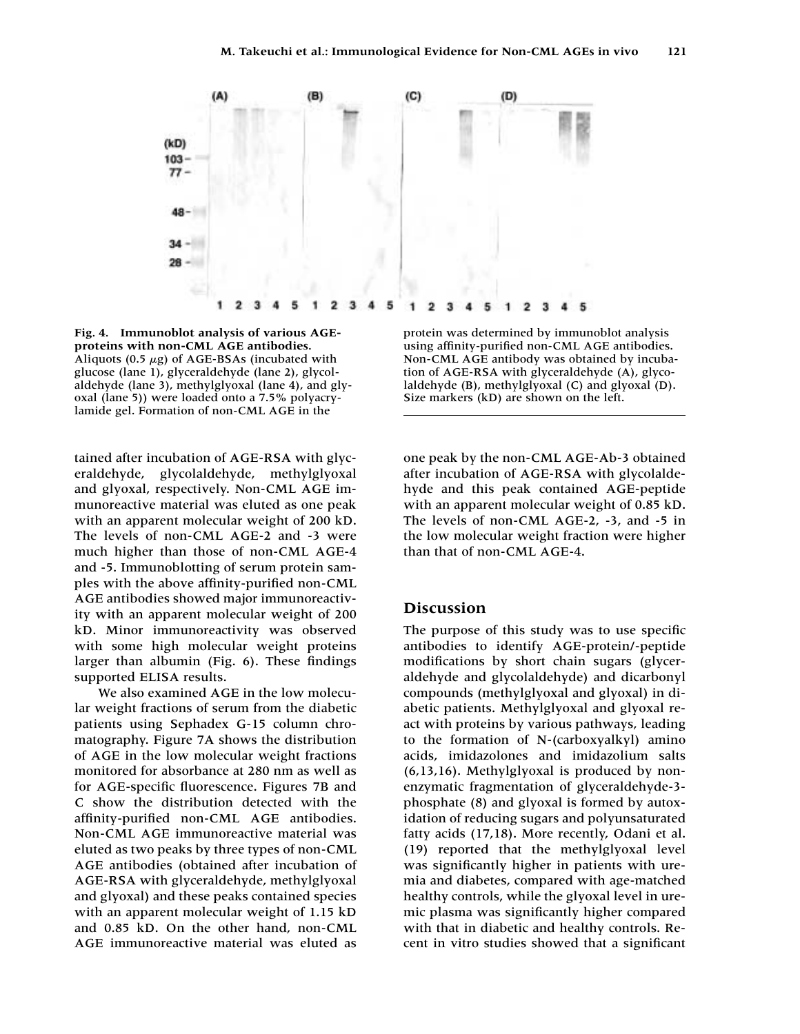

**Fig. 4. Immunoblot analysis of various AGEproteins with non-CML AGE antibodies.** Aliquots (0.5  $\mu$ g) of AGE-BSAs (incubated with glucose (lane 1), glyceraldehyde (lane 2), glycolaldehyde (lane 3), methylglyoxal (lane 4), and glyoxal (lane 5)) were loaded onto a 7.5% polyacrylamide gel. Formation of non-CML AGE in the

tained after incubation of AGE-RSA with glyceraldehyde, glycolaldehyde, methylglyoxal and glyoxal, respectively. Non-CML AGE immunoreactive material was eluted as one peak with an apparent molecular weight of 200 kD. The levels of non-CML AGE-2 and -3 were much higher than those of non-CML AGE-4 and -5. Immunoblotting of serum protein samples with the above affinity-purified non-CML AGE antibodies showed major immunoreactivity with an apparent molecular weight of 200 kD. Minor immunoreactivity was observed with some high molecular weight proteins larger than albumin (Fig. 6). These findings supported ELISA results.

We also examined AGE in the low molecular weight fractions of serum from the diabetic patients using Sephadex G-15 column chromatography. Figure 7A shows the distribution of AGE in the low molecular weight fractions monitored for absorbance at 280 nm as well as for AGE-specific fluorescence. Figures 7B and C show the distribution detected with the affinity-purified non-CML AGE antibodies. Non-CML AGE immunoreactive material was eluted as two peaks by three types of non-CML AGE antibodies (obtained after incubation of AGE-RSA with glyceraldehyde, methylglyoxal and glyoxal) and these peaks contained species with an apparent molecular weight of 1.15 kD and 0.85 kD. On the other hand, non-CML AGE immunoreactive material was eluted as

protein was determined by immunoblot analysis using affinity-purified non-CML AGE antibodies. Non-CML AGE antibody was obtained by incubation of AGE-RSA with glyceraldehyde (A), glycolaldehyde (B), methylglyoxal (C) and glyoxal (D). Size markers (kD) are shown on the left.

one peak by the non-CML AGE-Ab-3 obtained after incubation of AGE-RSA with glycolaldehyde and this peak contained AGE-peptide with an apparent molecular weight of 0.85 kD. The levels of non-CML AGE-2, -3, and -5 in the low molecular weight fraction were higher than that of non-CML AGE-4.

## **Discussion**

The purpose of this study was to use specific antibodies to identify AGE-protein/-peptide modifications by short chain sugars (glyceraldehyde and glycolaldehyde) and dicarbonyl compounds (methylglyoxal and glyoxal) in diabetic patients. Methylglyoxal and glyoxal react with proteins by various pathways, leading to the formation of N-(carboxyalkyl) amino acids, imidazolones and imidazolium salts (6,13,16). Methylglyoxal is produced by nonenzymatic fragmentation of glyceraldehyde-3 phosphate (8) and glyoxal is formed by autoxidation of reducing sugars and polyunsaturated fatty acids (17,18). More recently, Odani et al. (19) reported that the methylglyoxal level was significantly higher in patients with uremia and diabetes, compared with age-matched healthy controls, while the glyoxal level in uremic plasma was significantly higher compared with that in diabetic and healthy controls. Recent in vitro studies showed that a significant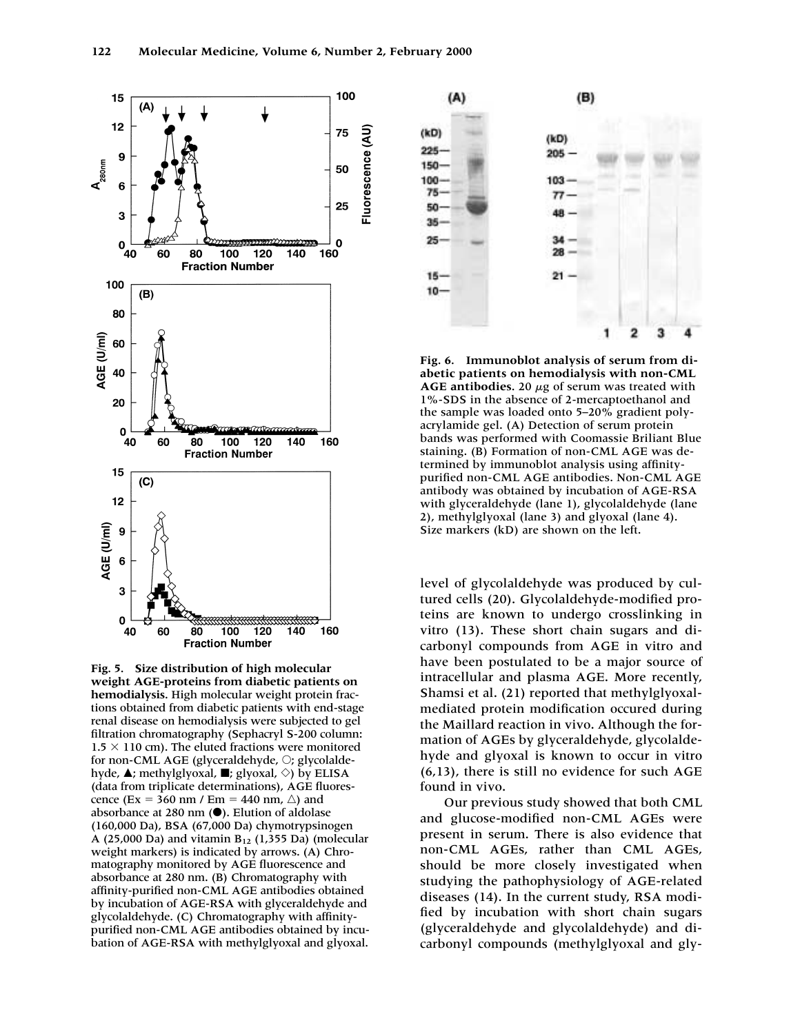





**Fig. 6. Immunoblot analysis of serum from diabetic patients on hemodialysis with non-CML**  $\overline{AGE}$  antibodies. 20  $\mu$ g of serum was treated with 1%-SDS in the absence of 2-mercaptoethanol and the sample was loaded onto 5–20% gradient polyacrylamide gel. (A) Detection of serum protein bands was performed with Coomassie Briliant Blue staining. (B) Formation of non-CML AGE was determined by immunoblot analysis using affinitypurified non-CML AGE antibodies. Non-CML AGE antibody was obtained by incubation of AGE-RSA with glyceraldehyde (lane 1), glycolaldehyde (lane 2), methylglyoxal (lane 3) and glyoxal (lane 4). Size markers (kD) are shown on the left.

level of glycolaldehyde was produced by cultured cells (20). Glycolaldehyde-modified proteins are known to undergo crosslinking in vitro (13). These short chain sugars and dicarbonyl compounds from AGE in vitro and have been postulated to be a major source of intracellular and plasma AGE. More recently, Shamsi et al. (21) reported that methylglyoxalmediated protein modification occured during the Maillard reaction in vivo. Although the formation of AGEs by glyceraldehyde, glycolaldehyde and glyoxal is known to occur in vitro (6,13), there is still no evidence for such AGE found in vivo.

Our previous study showed that both CML and glucose-modified non-CML AGEs were present in serum. There is also evidence that non-CML AGEs, rather than CML AGEs, should be more closely investigated when studying the pathophysiology of AGE-related diseases (14). In the current study, RSA modified by incubation with short chain sugars (glyceraldehyde and glycolaldehyde) and dicarbonyl compounds (methylglyoxal and gly-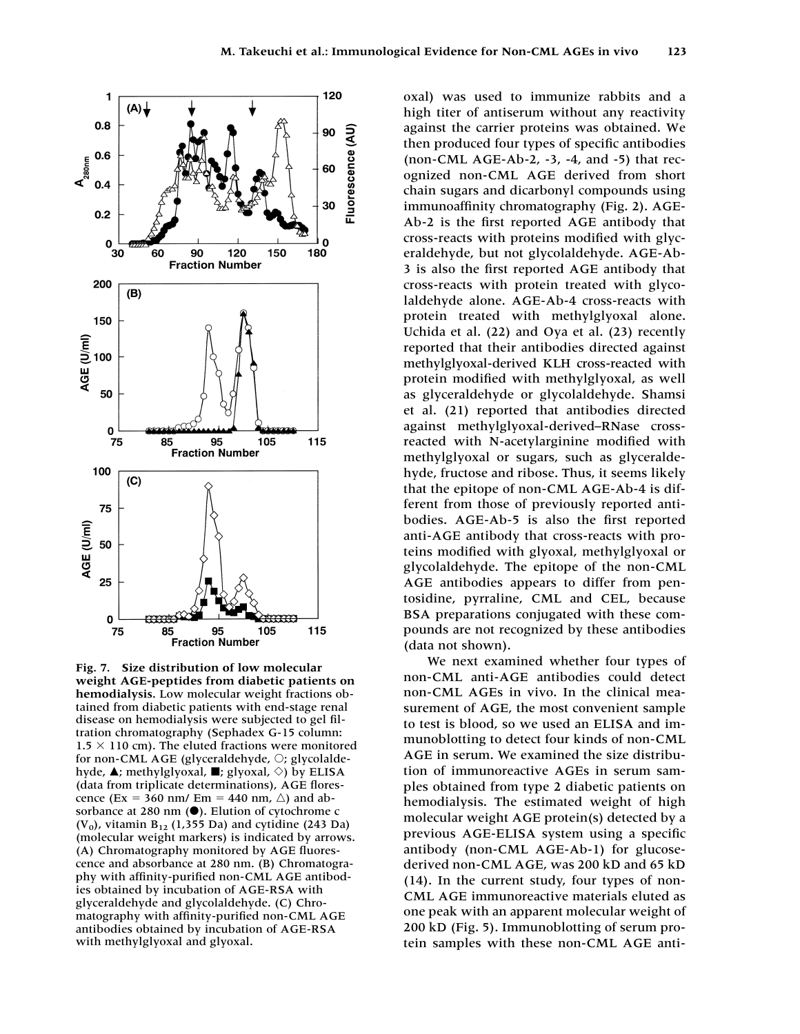

**Fig. 7. Size distribution of low molecular weight AGE-peptides from diabetic patients on hemodialysis.** Low molecular weight fractions obtained from diabetic patients with end-stage renal disease on hemodialysis were subjected to gel filtration chromatography (Sephadex G-15 column:  $1.5 \times 110$  cm). The eluted fractions were monitored for non-CML AGE (glyceraldehyde,  $\bigcirc$ ; glycolaldehyde,  $\blacktriangle$ ; methylglyoxal,  $\blacksquare$ ; glyoxal,  $\diamond$ ) by ELISA (data from triplicate determinations), AGE florescence (Ex = 360 nm/ Em = 440 nm,  $\triangle$ ) and absorbance at 280 nm  $(\bullet)$ . Elution of cytochrome c  $(V_0)$ , vitamin B<sub>12</sub> (1,355 Da) and cytidine (243 Da) (molecular weight markers) is indicated by arrows. (A) Chromatography monitored by AGE fluorescence and absorbance at 280 nm. (B) Chromatography with affinity-purified non-CML AGE antibodies obtained by incubation of AGE-RSA with glyceraldehyde and glycolaldehyde. (C) Chromatography with affinity-purified non-CML AGE antibodies obtained by incubation of AGE-RSA with methylglyoxal and glyoxal.

oxal) was used to immunize rabbits and a high titer of antiserum without any reactivity against the carrier proteins was obtained. We then produced four types of specific antibodies (non-CML AGE-Ab-2, -3, -4, and -5) that recognized non-CML AGE derived from short chain sugars and dicarbonyl compounds using immunoaffinity chromatography (Fig. 2). AGE-Ab-2 is the first reported AGE antibody that cross-reacts with proteins modified with glyceraldehyde, but not glycolaldehyde. AGE-Ab-3 is also the first reported AGE antibody that cross-reacts with protein treated with glycolaldehyde alone. AGE-Ab-4 cross-reacts with protein treated with methylglyoxal alone. Uchida et al. (22) and Oya et al. (23) recently reported that their antibodies directed against methylglyoxal-derived KLH cross-reacted with protein modified with methylglyoxal, as well as glyceraldehyde or glycolaldehyde. Shamsi et al. (21) reported that antibodies directed against methylglyoxal-derived–RNase crossreacted with N-acetylarginine modified with methylglyoxal or sugars, such as glyceraldehyde, fructose and ribose. Thus, it seems likely that the epitope of non-CML AGE-Ab-4 is different from those of previously reported antibodies. AGE-Ab-5 is also the first reported anti-AGE antibody that cross-reacts with proteins modified with glyoxal, methylglyoxal or glycolaldehyde. The epitope of the non-CML AGE antibodies appears to differ from pentosidine, pyrraline, CML and CEL, because BSA preparations conjugated with these compounds are not recognized by these antibodies (data not shown).

We next examined whether four types of non-CML anti-AGE antibodies could detect non-CML AGEs in vivo. In the clinical measurement of AGE, the most convenient sample to test is blood, so we used an ELISA and immunoblotting to detect four kinds of non-CML AGE in serum. We examined the size distribution of immunoreactive AGEs in serum samples obtained from type 2 diabetic patients on hemodialysis. The estimated weight of high molecular weight AGE protein(s) detected by a previous AGE-ELISA system using a specific antibody (non-CML AGE-Ab-1) for glucosederived non-CML AGE, was 200 kD and 65 kD (14). In the current study, four types of non-CML AGE immunoreactive materials eluted as one peak with an apparent molecular weight of 200 kD (Fig. 5). Immunoblotting of serum protein samples with these non-CML AGE anti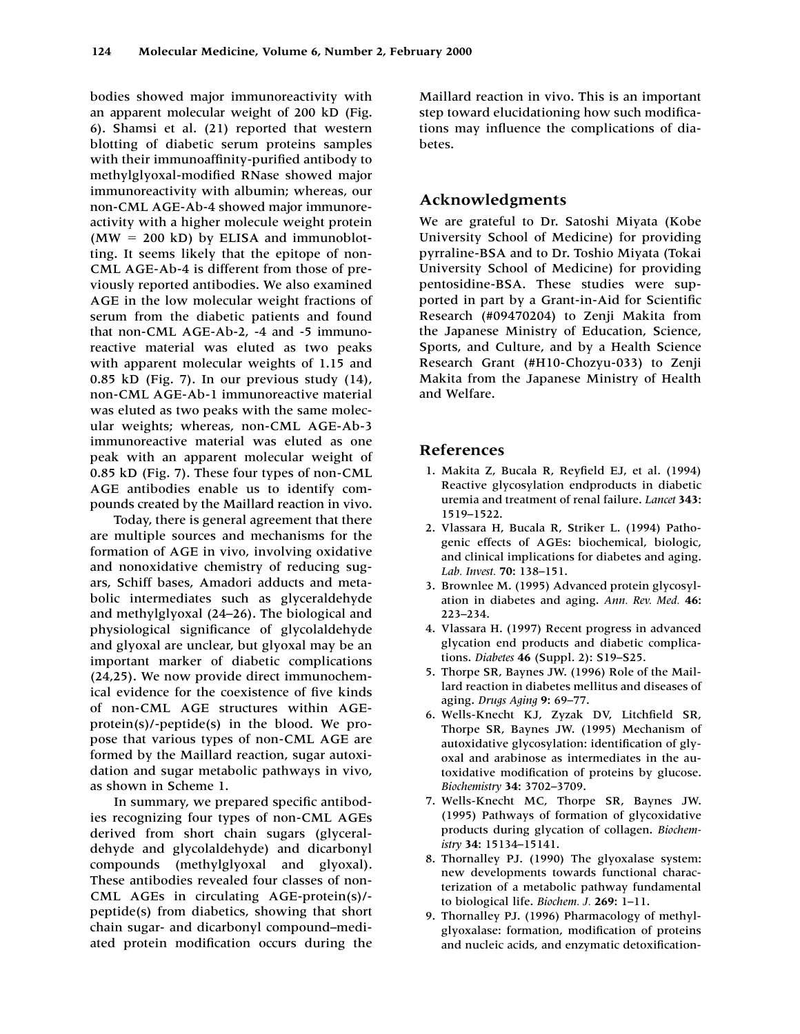bodies showed major immunoreactivity with an apparent molecular weight of 200 kD (Fig. 6). Shamsi et al. (21) reported that western blotting of diabetic serum proteins samples with their immunoaffinity-purified antibody to methylglyoxal-modified RNase showed major immunoreactivity with albumin; whereas, our non-CML AGE-Ab-4 showed major immunoreactivity with a higher molecule weight protein  $(MW = 200$  kD) by ELISA and immunoblotting. It seems likely that the epitope of non-CML AGE-Ab-4 is different from those of previously reported antibodies. We also examined AGE in the low molecular weight fractions of serum from the diabetic patients and found that non-CML AGE-Ab-2, -4 and -5 immunoreactive material was eluted as two peaks with apparent molecular weights of 1.15 and 0.85 kD (Fig. 7). In our previous study (14), non-CML AGE-Ab-1 immunoreactive material was eluted as two peaks with the same molecular weights; whereas, non-CML AGE-Ab-3 immunoreactive material was eluted as one peak with an apparent molecular weight of 0.85 kD (Fig. 7). These four types of non-CML AGE antibodies enable us to identify compounds created by the Maillard reaction in vivo.

Today, there is general agreement that there are multiple sources and mechanisms for the formation of AGE in vivo, involving oxidative and nonoxidative chemistry of reducing sugars, Schiff bases, Amadori adducts and metabolic intermediates such as glyceraldehyde and methylglyoxal (24–26). The biological and physiological significance of glycolaldehyde and glyoxal are unclear, but glyoxal may be an important marker of diabetic complications (24,25). We now provide direct immunochemical evidence for the coexistence of five kinds of non-CML AGE structures within AGEprotein(s)/-peptide(s) in the blood. We propose that various types of non-CML AGE are formed by the Maillard reaction, sugar autoxidation and sugar metabolic pathways in vivo, as shown in Scheme 1.

In summary, we prepared specific antibodies recognizing four types of non-CML AGEs derived from short chain sugars (glyceraldehyde and glycolaldehyde) and dicarbonyl compounds (methylglyoxal and glyoxal). These antibodies revealed four classes of non-CML AGEs in circulating AGE-protein(s)/ peptide(s) from diabetics, showing that short chain sugar- and dicarbonyl compound–mediated protein modification occurs during the

Maillard reaction in vivo. This is an important step toward elucidationing how such modifications may influence the complications of diabetes.

# **Acknowledgments**

We are grateful to Dr. Satoshi Miyata (Kobe University School of Medicine) for providing pyrraline-BSA and to Dr. Toshio Miyata (Tokai University School of Medicine) for providing pentosidine-BSA. These studies were supported in part by a Grant-in-Aid for Scientific Research (#09470204) to Zenji Makita from the Japanese Ministry of Education, Science, Sports, and Culture, and by a Health Science Research Grant (#H10-Chozyu-033) to Zenji Makita from the Japanese Ministry of Health and Welfare.

## **References**

- 1. Makita Z, Bucala R, Reyfield EJ, et al. (1994) Reactive glycosylation endproducts in diabetic uremia and treatment of renal failure. *Lancet* **343:** 1519–1522.
- 2. Vlassara H, Bucala R, Striker L. (1994) Pathogenic effects of AGEs: biochemical, biologic, and clinical implications for diabetes and aging. *Lab. Invest.* **70:** 138–151.
- 3. Brownlee M. (1995) Advanced protein glycosylation in diabetes and aging. *Ann. Rev. Med.* **46:** 223–234.
- 4. Vlassara H. (1997) Recent progress in advanced glycation end products and diabetic complications. *Diabetes* **46** (Suppl. 2): S19–S25.
- 5. Thorpe SR, Baynes JW. (1996) Role of the Maillard reaction in diabetes mellitus and diseases of aging. *Drugs Aging* **9:** 69–77.
- 6. Wells-Knecht KJ, Zyzak DV, Litchfield SR, Thorpe SR, Baynes JW. (1995) Mechanism of autoxidative glycosylation: identification of glyoxal and arabinose as intermediates in the autoxidative modification of proteins by glucose. *Biochemistry* **34:** 3702–3709.
- 7. Wells-Knecht MC, Thorpe SR, Baynes JW. (1995) Pathways of formation of glycoxidative products during glycation of collagen. *Biochemistry* **34:** 15134–15141.
- 8. Thornalley PJ. (1990) The glyoxalase system: new developments towards functional characterization of a metabolic pathway fundamental to biological life. *Biochem. J.* **269:** 1–11.
- 9. Thornalley PJ. (1996) Pharmacology of methylglyoxalase: formation, modification of proteins and nucleic acids, and enzymatic detoxification-